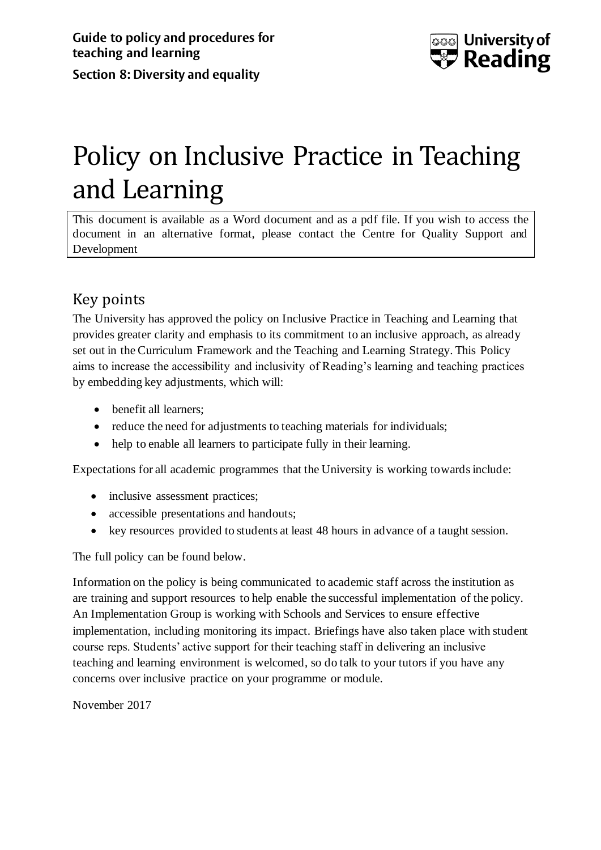

# Policy on Inclusive Practice in Teaching and Learning

This document is available as a Word document and as a pdf file. If you wish to access the document in an alternative format, please contact the Centre for Quality Support and Development

## Key points

The University has approved the policy on Inclusive Practice in Teaching and Learning that provides greater clarity and emphasis to its commitment to an inclusive approach, as already set out in the Curriculum Framework and the Teaching and Learning Strategy. This Policy aims to increase the accessibility and inclusivity of Reading's learning and teaching practices by embedding key adjustments, which will:

- benefit all learners;
- reduce the need for adjustments to teaching materials for individuals;
- help to enable all learners to participate fully in their learning.

Expectations for all academic programmes that the University is working towards include:

- inclusive assessment practices;
- accessible presentations and handouts;
- key resources provided to students at least 48 hours in advance of a taught session.

The full policy can be found below.

Information on the policy is being communicated to academic staff across the institution as are training and support resources to help enable the successful implementation of the policy. An Implementation Group is working with Schools and Services to ensure effective implementation, including monitoring its impact. Briefings have also taken place with student course reps. Students' active support for their teaching staff in delivering an inclusive teaching and learning environment is welcomed, so do talk to your tutors if you have any concerns over inclusive practice on your programme or module.

November 2017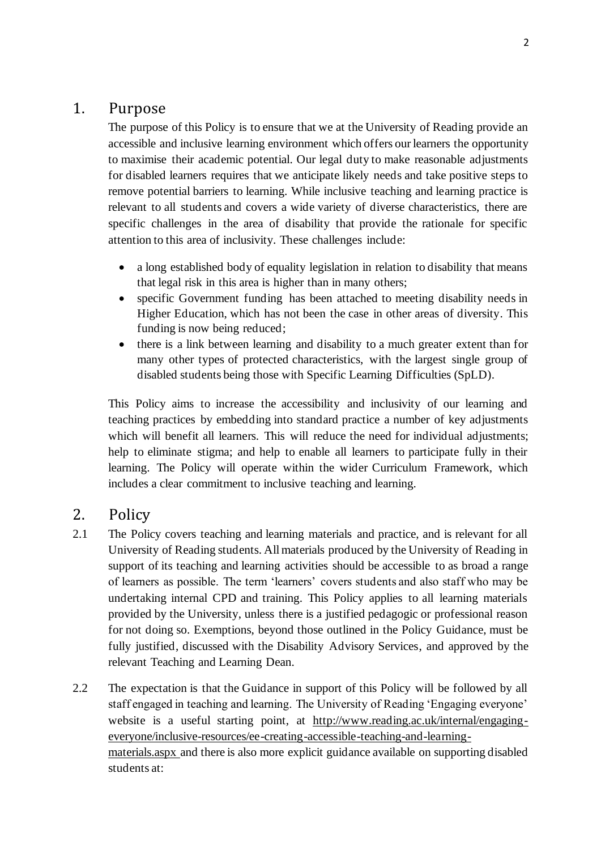#### 1. Purpose

The purpose of this Policy is to ensure that we at the University of Reading provide an accessible and inclusive learning environment which offers our learners the opportunity to maximise their academic potential. Our legal duty to make reasonable adjustments for disabled learners requires that we anticipate likely needs and take positive steps to remove potential barriers to learning. While inclusive teaching and learning practice is relevant to all students and covers a wide variety of diverse characteristics, there are specific challenges in the area of disability that provide the rationale for specific attention to this area of inclusivity. These challenges include:

- a long established body of equality legislation in relation to disability that means that legal risk in this area is higher than in many others;
- specific Government funding has been attached to meeting disability needs in Higher Education, which has not been the case in other areas of diversity. This funding is now being reduced;
- there is a link between learning and disability to a much greater extent than for many other types of protected characteristics, with the largest single group of disabled students being those with Specific Learning Difficulties (SpLD).

This Policy aims to increase the accessibility and inclusivity of our learning and teaching practices by embedding into standard practice a number of key adjustments which will benefit all learners. This will reduce the need for individual adjustments; help to eliminate stigma; and help to enable all learners to participate fully in their learning. The Policy will operate within the wider Curriculum Framework, which includes a clear commitment to inclusive teaching and learning.

#### 2. Policy

- 2.1 The Policy covers teaching and learning materials and practice, and is relevant for all University of Reading students. All materials produced by the University of Reading in support of its teaching and learning activities should be accessible to as broad a range of learners as possible. The term 'learners' covers students and also staff who may be undertaking internal CPD and training. This Policy applies to all learning materials provided by the University, unless there is a justified pedagogic or professional reason for not doing so. Exemptions, beyond those outlined in the Policy Guidance, must be fully justified, discussed with the Disability Advisory Services, and approved by the relevant Teaching and Learning Dean.
- 2.2 The expectation is that the Guidance in support of this Policy will be followed by all staff engaged in teaching and learning. The University of Reading 'Engaging everyone' website is a useful starting point, at [http://www.reading.ac.uk/internal/engaging](http://www.reading.ac.uk/internal/engaging-everyone/inclusive-resources/ee-creating-accessible-teaching-and-learning-materials.aspx)[everyone/inclusive-resources/ee-creating-accessible-teaching-and-learning](http://www.reading.ac.uk/internal/engaging-everyone/inclusive-resources/ee-creating-accessible-teaching-and-learning-materials.aspx)[materials.aspx](http://www.reading.ac.uk/internal/engaging-everyone/inclusive-resources/ee-creating-accessible-teaching-and-learning-materials.aspx) and there is also more explicit guidance available on supporting disabled students at: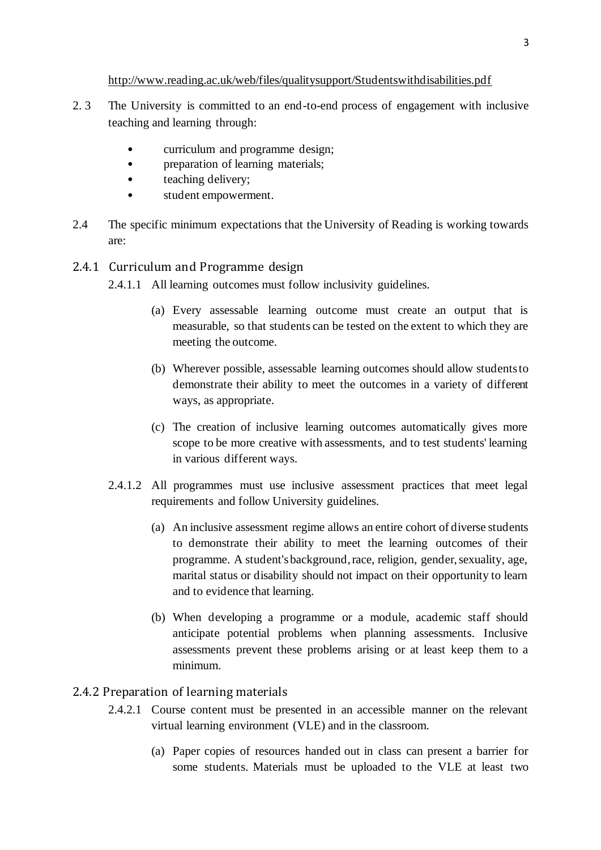<http://www.reading.ac.uk/web/files/qualitysupport/Studentswithdisabilities.pdf>

- 2. 3 The University is committed to an end-to-end process of engagement with inclusive teaching and learning through:
	- curriculum and programme design;
	- preparation of learning materials;
	- teaching delivery;
	- student empowerment.
- 2.4 The specific minimum expectations that the University of Reading is working towards are:
- 2.4.1 Curriculum and Programme design
	- 2.4.1.1 All learning outcomes must follow inclusivity guidelines.
		- (a) Every assessable learning outcome must create an output that is measurable, so that students can be tested on the extent to which they are meeting the outcome.
		- (b) Wherever possible, assessable learning outcomes should allow students to demonstrate their ability to meet the outcomes in a variety of different ways, as appropriate.
		- (c) The creation of inclusive learning outcomes automatically gives more scope to be more creative with assessments, and to test students' learning in various different ways.
	- 2.4.1.2 All programmes must use inclusive assessment practices that meet legal requirements and follow University guidelines.
		- (a) An inclusive assessment regime allows an entire cohort of diverse students to demonstrate their ability to meet the learning outcomes of their programme. A student's background, race, religion, gender, sexuality, age, marital status or disability should not impact on their opportunity to learn and to evidence that learning.
		- (b) When developing a programme or a module, academic staff should anticipate potential problems when planning assessments. Inclusive assessments prevent these problems arising or at least keep them to a minimum.
- 2.4.2 Preparation of learning materials
	- 2.4.2.1 Course content must be presented in an accessible manner on the relevant virtual learning environment (VLE) and in the classroom.
		- (a) Paper copies of resources handed out in class can present a barrier for some students. Materials must be uploaded to the VLE at least two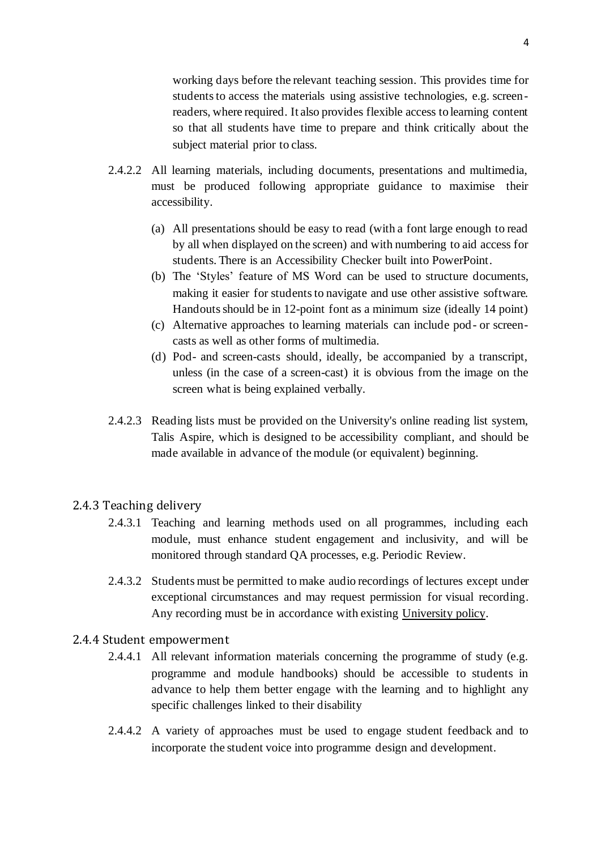working days before the relevant teaching session. This provides time for students to access the materials using assistive technologies, e.g. screenreaders, where required. It also provides flexible access to learning content so that all students have time to prepare and think critically about the subject material prior to class.

- 2.4.2.2 All learning materials, including documents, presentations and multimedia, must be produced following appropriate guidance to maximise their accessibility.
	- (a) All presentations should be easy to read (with a font large enough to read by all when displayed on the screen) and with numbering to aid access for students. There is an Accessibility Checker built into PowerPoint.
	- (b) The 'Styles' feature of MS Word can be used to structure documents, making it easier for students to navigate and use other assistive software. Handouts should be in 12-point font as a minimum size (ideally 14 point)
	- (c) Alternative approaches to learning materials can include pod- or screencasts as well as other forms of multimedia.
	- (d) Pod- and screen-casts should, ideally, be accompanied by a transcript, unless (in the case of a screen-cast) it is obvious from the image on the screen what is being explained verbally.
- 2.4.2.3 Reading lists must be provided on the University's online reading list system, Talis Aspire, which is designed to be accessibility compliant, and should be made available in advance of the module (or equivalent) beginning.

#### 2.4.3 Teaching delivery

- 2.4.3.1 Teaching and learning methods used on all programmes, including each module, must enhance student engagement and inclusivity, and will be monitored through standard QA processes, e.g. Periodic Review.
- 2.4.3.2 Students must be permitted to make audio recordings of lectures except under exceptional circumstances and may request permission for visual recording. Any recording must be in accordance with existing [University policy.](https://www.reading.ac.uk/internal/student/OnlineStudentHandbook/osh-recording-lectures.aspx)
- 2.4.4 Student empowerment
	- 2.4.4.1 All relevant information materials concerning the programme of study (e.g. programme and module handbooks) should be accessible to students in advance to help them better engage with the learning and to highlight any specific challenges linked to their disability
	- 2.4.4.2 A variety of approaches must be used to engage student feedback and to incorporate the student voice into programme design and development.